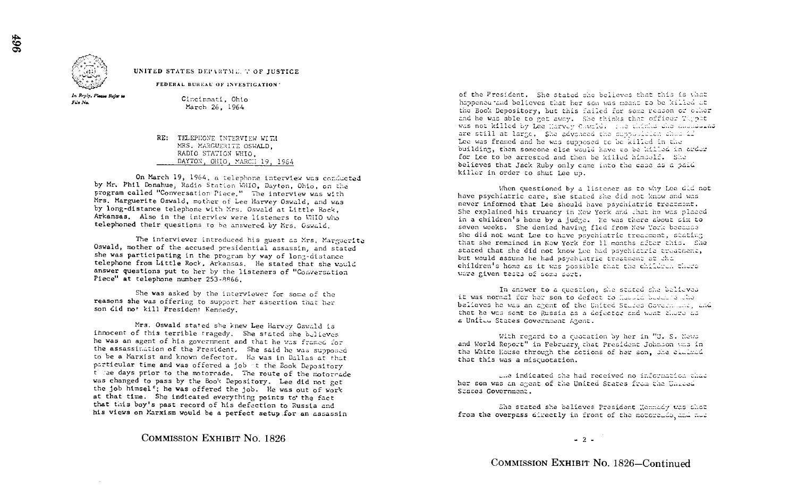

UNITED STATES DEPARTME. T OF JUSTICE

FEDERAL BUREAU OF INVESTIGATION'

In Reply, Please Refer to For Na.

Cincinnati, Ohio March 26, 1964

RE: TELEPHONE INTERVIEW WITH

On March 19, 1964, a telephone interview was conducted by Mr. Phil Donahue, Radio Station WHIO, Dayton, Ohio, on the program called "Conversation Piece," The interview was with Mrs, Marguerite Oswald, mother of Lee Harvey Oswald, and was by long-distance telephone with Mrs. Oswald at Little Rock, Arkansas, Also in the interview were listeners to WHIO who telephoned their questions to he answered by Mrs . Gswaid,

The interviewer introduced his guest as Mrs, Marguerite Oswald, mother of the accused presidential assassin, and stated she was participating in the program by way of long-distance telephone from Little Rock, Arkansas, He stated that she would answer questions put to her by the listeners of "Conversation Piece" at telephone number 253-8866.

She was asked by the interviewer for some of the reasons she was offering to support her assertion that her son did not kill President Kennedy.

Mrs. Oswald stated she knew Lee Harvey Oswald is innocent of this terrible tragedy. She stated she believes he was an agent of his government and that he was framed for the assassination of the President. She said he was supposed to be a Marxist and known defector . He was in Dallas at that particular time and was offered a job it the Book Depository t : se days prior to the motorcade. The route of the motorcade was changed to pass by the Book Depository. Lee did not get the job himsel<sup>s</sup>; he was offered the job. He was out of work at that time. She indicated everything points to the fact that this boy's past record of his defection to Russia and that tois boy's past record of his defection to Russia and his views on Marxism would be a perfect setup .for an assassin

COMMISSION EXHIBIT NO. <sup>1826</sup>

of the President. She stated she believes that this is what happencu and believes that her son was meant to be killed the Book Depository, but this failed for some reason or clher and he was able to get away. She thinks that officer Theor was not killed by Lee Marvey Cowald. (no chimic the angularist are still at large. She advanced the supposition that if Lee was framed and he was supposed to be killed : MRS, MARGUERITE OSWALD,<br>
RADIO STATION WHIO. THE WAS CONSIDERED TO MARGUE TO A DISTURBANCE OF RADIO STATION WHIO. building the someone else were else were to be arrested and then be killed himself. She had then be killed himself. She believes that Jack Ruby only came into the case as a paid killer in order to shut Lee up.

> When questioned by a listener as to why Lee did not have psychiatric care, she stated she did not know and never informed that Lee should have psychiatric treatment. She explained his truancy in New York and that he was placed in a children's home by a judge. He was there about six to seven weeks. She denied having fled from New York because she did not want Lee to have psychiatric treatment, stativity that she remained in New York for 11 months after this. She stated that she did not know Lee had psychiatric treatment. but would assume he had psychiatric treatment at the children's home as it was possible that the children there ware given tests of some sort.

> In anower to a question, she stated she believes it was normal for her son to defect to Council bound a she believes he was an arent of the United Studes Covernment and that he was sent to Russia as a defector and went flure as a Unit.. States Government Agent.

With regard to a cuotation by her in "U. S. News and World Report" in February, that President Johnson was in the White House through the actions of her son, she claimed that this was a miscuotation.

ule indicated che had received no.<br>her son was an agent of the United States f Szatea Government .

She stated she believes President Kennedy was shot from the overpass directly in front of the motorcite and not

 $-2-$ 

COMMISSION EXHIBIT NO. 1826-Continued